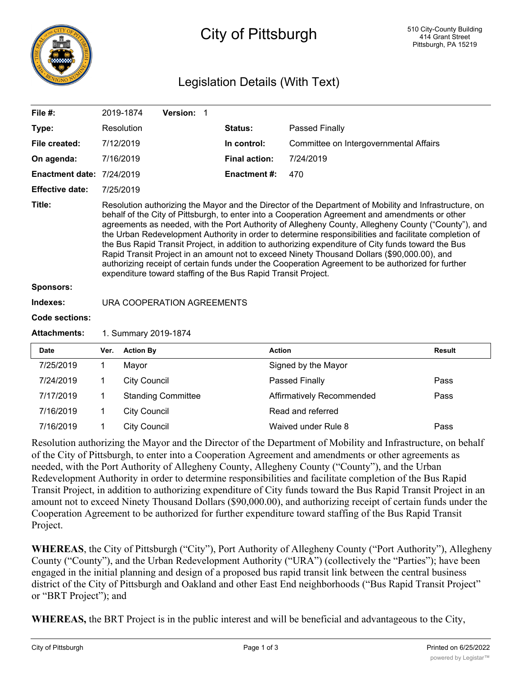

## City of Pittsburgh

## Legislation Details (With Text)

| File $#$ :                       |                                                                                                                                                                                                                                                                                                                                                                                                                                                                                                                                                                                                                                                                                                                                                                                                      | 2019-1874           | Version: 1                |                      |                                        |                                  |               |  |
|----------------------------------|------------------------------------------------------------------------------------------------------------------------------------------------------------------------------------------------------------------------------------------------------------------------------------------------------------------------------------------------------------------------------------------------------------------------------------------------------------------------------------------------------------------------------------------------------------------------------------------------------------------------------------------------------------------------------------------------------------------------------------------------------------------------------------------------------|---------------------|---------------------------|----------------------|----------------------------------------|----------------------------------|---------------|--|
| Type:                            |                                                                                                                                                                                                                                                                                                                                                                                                                                                                                                                                                                                                                                                                                                                                                                                                      | Resolution          |                           | <b>Status:</b>       | Passed Finally                         |                                  |               |  |
| File created:                    |                                                                                                                                                                                                                                                                                                                                                                                                                                                                                                                                                                                                                                                                                                                                                                                                      | 7/12/2019           |                           | In control:          | Committee on Intergovernmental Affairs |                                  |               |  |
| On agenda:                       |                                                                                                                                                                                                                                                                                                                                                                                                                                                                                                                                                                                                                                                                                                                                                                                                      | 7/16/2019           |                           | <b>Final action:</b> | 7/24/2019                              |                                  |               |  |
| <b>Enactment date: 7/24/2019</b> |                                                                                                                                                                                                                                                                                                                                                                                                                                                                                                                                                                                                                                                                                                                                                                                                      |                     |                           | <b>Enactment#:</b>   | 470                                    |                                  |               |  |
| <b>Effective date:</b>           |                                                                                                                                                                                                                                                                                                                                                                                                                                                                                                                                                                                                                                                                                                                                                                                                      | 7/25/2019           |                           |                      |                                        |                                  |               |  |
| Title:                           | Resolution authorizing the Mayor and the Director of the Department of Mobility and Infrastructure, on<br>behalf of the City of Pittsburgh, to enter into a Cooperation Agreement and amendments or other<br>agreements as needed, with the Port Authority of Allegheny County, Allegheny County ("County"), and<br>the Urban Redevelopment Authority in order to determine responsibilities and facilitate completion of<br>the Bus Rapid Transit Project, in addition to authorizing expenditure of City funds toward the Bus<br>Rapid Transit Project in an amount not to exceed Ninety Thousand Dollars (\$90,000.00), and<br>authorizing receipt of certain funds under the Cooperation Agreement to be authorized for further<br>expenditure toward staffing of the Bus Rapid Transit Project. |                     |                           |                      |                                        |                                  |               |  |
| <b>Sponsors:</b>                 |                                                                                                                                                                                                                                                                                                                                                                                                                                                                                                                                                                                                                                                                                                                                                                                                      |                     |                           |                      |                                        |                                  |               |  |
| Indexes:                         | URA COOPERATION AGREEMENTS                                                                                                                                                                                                                                                                                                                                                                                                                                                                                                                                                                                                                                                                                                                                                                           |                     |                           |                      |                                        |                                  |               |  |
| Code sections:                   |                                                                                                                                                                                                                                                                                                                                                                                                                                                                                                                                                                                                                                                                                                                                                                                                      |                     |                           |                      |                                        |                                  |               |  |
| <b>Attachments:</b>              | 1. Summary 2019-1874                                                                                                                                                                                                                                                                                                                                                                                                                                                                                                                                                                                                                                                                                                                                                                                 |                     |                           |                      |                                        |                                  |               |  |
| <b>Date</b>                      | Ver.                                                                                                                                                                                                                                                                                                                                                                                                                                                                                                                                                                                                                                                                                                                                                                                                 | <b>Action By</b>    |                           |                      |                                        | <b>Action</b>                    | <b>Result</b> |  |
| 7/25/2019                        | 1                                                                                                                                                                                                                                                                                                                                                                                                                                                                                                                                                                                                                                                                                                                                                                                                    | Mayor               |                           |                      |                                        | Signed by the Mayor              |               |  |
| 7/24/2019                        | 1                                                                                                                                                                                                                                                                                                                                                                                                                                                                                                                                                                                                                                                                                                                                                                                                    | <b>City Council</b> |                           |                      |                                        | Passed Finally                   | Pass          |  |
| 7/17/2019                        | 1                                                                                                                                                                                                                                                                                                                                                                                                                                                                                                                                                                                                                                                                                                                                                                                                    |                     | <b>Standing Committee</b> |                      |                                        | <b>Affirmatively Recommended</b> | Pass          |  |
| 7/16/2019                        | 1                                                                                                                                                                                                                                                                                                                                                                                                                                                                                                                                                                                                                                                                                                                                                                                                    | <b>City Council</b> |                           |                      |                                        | Read and referred                |               |  |
| 7/16/2019                        | 1                                                                                                                                                                                                                                                                                                                                                                                                                                                                                                                                                                                                                                                                                                                                                                                                    | <b>City Council</b> |                           |                      |                                        | Waived under Rule 8              | Pass          |  |

Resolution authorizing the Mayor and the Director of the Department of Mobility and Infrastructure, on behalf of the City of Pittsburgh, to enter into a Cooperation Agreement and amendments or other agreements as needed, with the Port Authority of Allegheny County, Allegheny County ("County"), and the Urban Redevelopment Authority in order to determine responsibilities and facilitate completion of the Bus Rapid Transit Project, in addition to authorizing expenditure of City funds toward the Bus Rapid Transit Project in an amount not to exceed Ninety Thousand Dollars (\$90,000.00), and authorizing receipt of certain funds under the Cooperation Agreement to be authorized for further expenditure toward staffing of the Bus Rapid Transit Project.

**WHEREAS**, the City of Pittsburgh ("City"), Port Authority of Allegheny County ("Port Authority"), Allegheny County ("County"), and the Urban Redevelopment Authority ("URA") (collectively the "Parties"); have been engaged in the initial planning and design of a proposed bus rapid transit link between the central business district of the City of Pittsburgh and Oakland and other East End neighborhoods ("Bus Rapid Transit Project" or "BRT Project"); and

**WHEREAS,** the BRT Project is in the public interest and will be beneficial and advantageous to the City,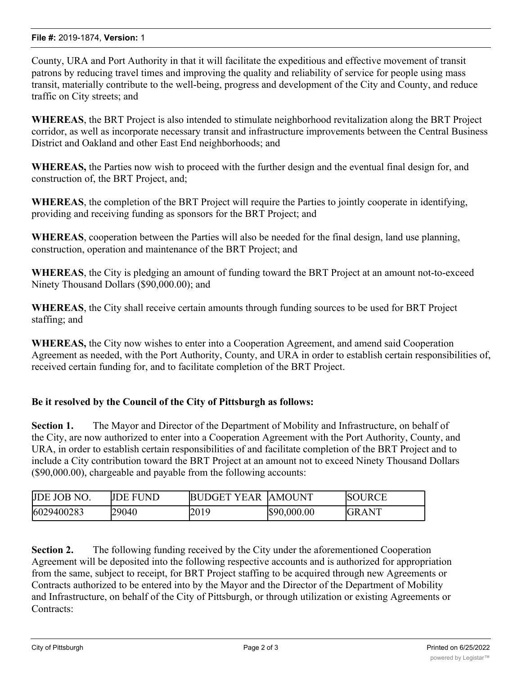County, URA and Port Authority in that it will facilitate the expeditious and effective movement of transit patrons by reducing travel times and improving the quality and reliability of service for people using mass transit, materially contribute to the well-being, progress and development of the City and County, and reduce traffic on City streets; and

**WHEREAS**, the BRT Project is also intended to stimulate neighborhood revitalization along the BRT Project corridor, as well as incorporate necessary transit and infrastructure improvements between the Central Business District and Oakland and other East End neighborhoods; and

**WHEREAS,** the Parties now wish to proceed with the further design and the eventual final design for, and construction of, the BRT Project, and;

**WHEREAS**, the completion of the BRT Project will require the Parties to jointly cooperate in identifying, providing and receiving funding as sponsors for the BRT Project; and

**WHEREAS**, cooperation between the Parties will also be needed for the final design, land use planning, construction, operation and maintenance of the BRT Project; and

**WHEREAS**, the City is pledging an amount of funding toward the BRT Project at an amount not-to-exceed Ninety Thousand Dollars (\$90,000.00); and

**WHEREAS**, the City shall receive certain amounts through funding sources to be used for BRT Project staffing; and

**WHEREAS,** the City now wishes to enter into a Cooperation Agreement, and amend said Cooperation Agreement as needed, with the Port Authority, County, and URA in order to establish certain responsibilities of, received certain funding for, and to facilitate completion of the BRT Project.

## **Be it resolved by the Council of the City of Pittsburgh as follows:**

**Section 1.** The Mayor and Director of the Department of Mobility and Infrastructure, on behalf of the City, are now authorized to enter into a Cooperation Agreement with the Port Authority, County, and URA, in order to establish certain responsibilities of and facilitate completion of the BRT Project and to include a City contribution toward the BRT Project at an amount not to exceed Ninety Thousand Dollars (\$90,000.00), chargeable and payable from the following accounts:

| <b>JDE JOB NO.</b> | ' FI IND<br>IDE. | F A R<br><b>IRUDGET</b> | <b>JAMOUNT</b> | <b>NIRCE</b> |
|--------------------|------------------|-------------------------|----------------|--------------|
| 6029400283         | 29040            | 2019                    | \$90,000.00    | <b>GRANT</b> |

**Section 2.** The following funding received by the City under the aforementioned Cooperation Agreement will be deposited into the following respective accounts and is authorized for appropriation from the same, subject to receipt, for BRT Project staffing to be acquired through new Agreements or Contracts authorized to be entered into by the Mayor and the Director of the Department of Mobility and Infrastructure, on behalf of the City of Pittsburgh, or through utilization or existing Agreements or Contracts: